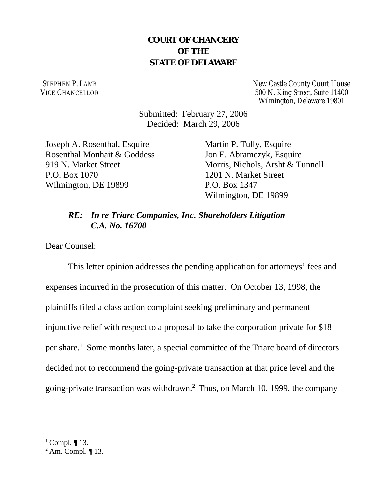## **COURT OF CHANCERY OF THE STATE OF DELAWARE**

STEPHEN P. LAMB VICE CHANCELLOR New Castle County Court House 500 N. King Street, Suite 11400 Wilmington, Delaware 19801

Submitted: February 27, 2006 Decided: March 29, 2006

Joseph A. Rosenthal, Esquire Rosenthal Monhait & Goddess 919 N. Market Street P.O. Box 1070 Wilmington, DE 19899

Martin P. Tully, Esquire Jon E. Abramczyk, Esquire Morris, Nichols, Arsht & Tunnell 1201 N. Market Street P.O. Box 1347 Wilmington, DE 19899

## *RE: In re Triarc Companies, Inc. Shareholders Litigation C.A. No. 16700*

Dear Counsel:

This letter opinion addresses the pending application for attorneys' fees and expenses incurred in the prosecution of this matter. On October 13, 1998, the plaintiffs filed a class action complaint seeking preliminary and permanent injunctive relief with respect to a proposal to take the corporation private for \$18 per share.<sup>1</sup> Some months later, a special committee of the Triarc board of directors decided not to recommend the going-private transaction at that price level and the going-private transaction was withdrawn.2 Thus, on March 10, 1999, the company

<sup>1</sup> Compl.  $\P$  13.

 $2$  Am. Compl.  $\P$  13.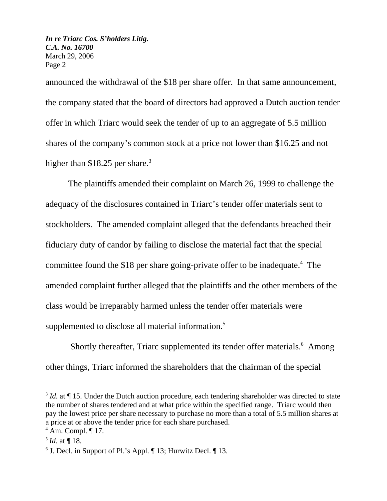announced the withdrawal of the \$18 per share offer. In that same announcement, the company stated that the board of directors had approved a Dutch auction tender offer in which Triarc would seek the tender of up to an aggregate of 5.5 million shares of the company's common stock at a price not lower than \$16.25 and not higher than \$18.25 per share.<sup>3</sup>

The plaintiffs amended their complaint on March 26, 1999 to challenge the adequacy of the disclosures contained in Triarc's tender offer materials sent to stockholders. The amended complaint alleged that the defendants breached their fiduciary duty of candor by failing to disclose the material fact that the special committee found the \$18 per share going-private offer to be inadequate.<sup>4</sup> The amended complaint further alleged that the plaintiffs and the other members of the class would be irreparably harmed unless the tender offer materials were supplemented to disclose all material information.<sup>5</sup>

Shortly thereafter, Triarc supplemented its tender offer materials.<sup>6</sup> Among other things, Triarc informed the shareholders that the chairman of the special

<sup>3</sup> *Id.* at ¶ 15. Under the Dutch auction procedure, each tendering shareholder was directed to state the number of shares tendered and at what price within the specified range. Triarc would then pay the lowest price per share necessary to purchase no more than a total of 5.5 million shares at a price at or above the tender price for each share purchased.

<sup>4</sup> Am. Compl. ¶ 17.

 $^{5}$  *Id.* at ¶ 18.

 $6$  J. Decl. in Support of Pl.'s Appl.  $\P$  13; Hurwitz Decl.  $\P$  13.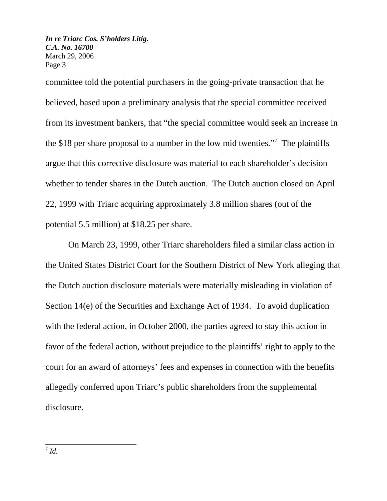committee told the potential purchasers in the going-private transaction that he believed, based upon a preliminary analysis that the special committee received from its investment bankers, that "the special committee would seek an increase in the \$18 per share proposal to a number in the low mid twenties."7 The plaintiffs argue that this corrective disclosure was material to each shareholder's decision whether to tender shares in the Dutch auction. The Dutch auction closed on April 22, 1999 with Triarc acquiring approximately 3.8 million shares (out of the potential 5.5 million) at \$18.25 per share.

On March 23, 1999, other Triarc shareholders filed a similar class action in the United States District Court for the Southern District of New York alleging that the Dutch auction disclosure materials were materially misleading in violation of Section 14(e) of the Securities and Exchange Act of 1934. To avoid duplication with the federal action, in October 2000, the parties agreed to stay this action in favor of the federal action, without prejudice to the plaintiffs' right to apply to the court for an award of attorneys' fees and expenses in connection with the benefits allegedly conferred upon Triarc's public shareholders from the supplemental disclosure.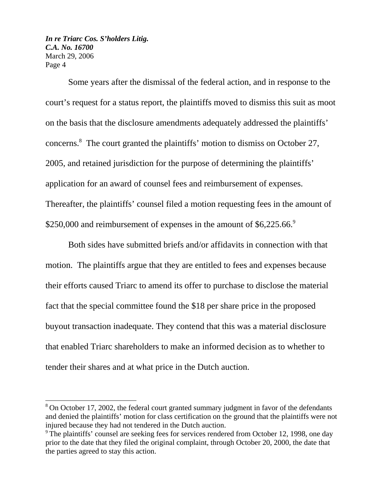Some years after the dismissal of the federal action, and in response to the court's request for a status report, the plaintiffs moved to dismiss this suit as moot on the basis that the disclosure amendments adequately addressed the plaintiffs' concerns.<sup>8</sup> The court granted the plaintiffs' motion to dismiss on October 27, 2005, and retained jurisdiction for the purpose of determining the plaintiffs' application for an award of counsel fees and reimbursement of expenses. Thereafter, the plaintiffs' counsel filed a motion requesting fees in the amount of \$250,000 and reimbursement of expenses in the amount of  $$6,225.66$ .<sup>9</sup>

Both sides have submitted briefs and/or affidavits in connection with that motion. The plaintiffs argue that they are entitled to fees and expenses because their efforts caused Triarc to amend its offer to purchase to disclose the material fact that the special committee found the \$18 per share price in the proposed buyout transaction inadequate. They contend that this was a material disclosure that enabled Triarc shareholders to make an informed decision as to whether to tender their shares and at what price in the Dutch auction.

<sup>&</sup>lt;sup>8</sup> On October 17, 2002, the federal court granted summary judgment in favor of the defendants and denied the plaintiffs' motion for class certification on the ground that the plaintiffs were not injured because they had not tendered in the Dutch auction.

<sup>&</sup>lt;sup>9</sup> The plaintiffs' counsel are seeking fees for services rendered from October 12, 1998, one day prior to the date that they filed the original complaint, through October 20, 2000, the date that the parties agreed to stay this action.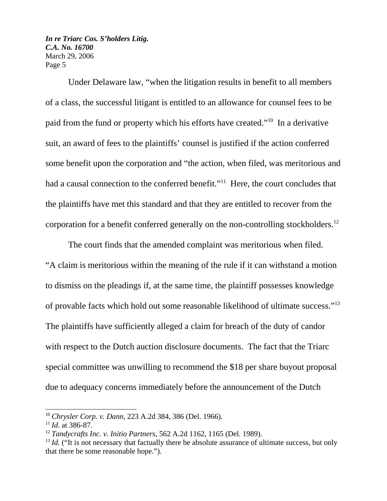Under Delaware law, "when the litigation results in benefit to all members of a class, the successful litigant is entitled to an allowance for counsel fees to be paid from the fund or property which his efforts have created."10 In a derivative suit, an award of fees to the plaintiffs' counsel is justified if the action conferred some benefit upon the corporation and "the action, when filed, was meritorious and had a causal connection to the conferred benefit."<sup>11</sup> Here, the court concludes that the plaintiffs have met this standard and that they are entitled to recover from the corporation for a benefit conferred generally on the non-controlling stockholders.<sup>12</sup>

The court finds that the amended complaint was meritorious when filed. "A claim is meritorious within the meaning of the rule if it can withstand a motion to dismiss on the pleadings if, at the same time, the plaintiff possesses knowledge of provable facts which hold out some reasonable likelihood of ultimate success."13 The plaintiffs have sufficiently alleged a claim for breach of the duty of candor with respect to the Dutch auction disclosure documents. The fact that the Triarc special committee was unwilling to recommend the \$18 per share buyout proposal due to adequacy concerns immediately before the announcement of the Dutch

<sup>10</sup> *Chrysler Corp. v. Dann*, 223 A.2d 384, 386 (Del. 1966).

<sup>11</sup> *Id.* at 386-87.

<sup>12</sup> *Tandycrafts Inc. v. Initio Partners*, 562 A.2d 1162, 1165 (Del. 1989).

 $13$  *Id.* ("It is not necessary that factually there be absolute assurance of ultimate success, but only that there be some reasonable hope.").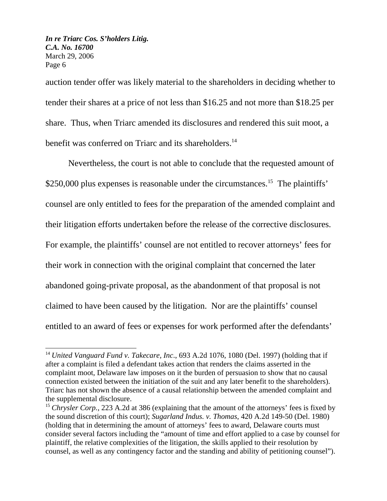auction tender offer was likely material to the shareholders in deciding whether to tender their shares at a price of not less than \$16.25 and not more than \$18.25 per share. Thus, when Triarc amended its disclosures and rendered this suit moot, a benefit was conferred on Triarc and its shareholders.<sup>14</sup>

Nevertheless, the court is not able to conclude that the requested amount of  $$250,000$  plus expenses is reasonable under the circumstances.<sup>15</sup> The plaintiffs' counsel are only entitled to fees for the preparation of the amended complaint and their litigation efforts undertaken before the release of the corrective disclosures. For example, the plaintiffs' counsel are not entitled to recover attorneys' fees for their work in connection with the original complaint that concerned the later abandoned going-private proposal, as the abandonment of that proposal is not claimed to have been caused by the litigation. Nor are the plaintiffs' counsel entitled to an award of fees or expenses for work performed after the defendants'

<sup>&</sup>lt;sup>14</sup> United Vanguard Fund v. Takecare, Inc., 693 A.2d 1076, 1080 (Del. 1997) (holding that if after a complaint is filed a defendant takes action that renders the claims asserted in the complaint moot, Delaware law imposes on it the burden of persuasion to show that no causal connection existed between the initiation of the suit and any later benefit to the shareholders). Triarc has not shown the absence of a causal relationship between the amended complaint and the supplemental disclosure.

<sup>&</sup>lt;sup>15</sup> *Chrysler Corp.*, 223 A.2d at 386 (explaining that the amount of the attorneys' fees is fixed by the sound discretion of this court); *Sugarland Indus. v. Thomas*, 420 A.2d 149-50 (Del. 1980) (holding that in determining the amount of attorneys' fees to award, Delaware courts must consider several factors including the "amount of time and effort applied to a case by counsel for plaintiff, the relative complexities of the litigation, the skills applied to their resolution by counsel, as well as any contingency factor and the standing and ability of petitioning counsel").